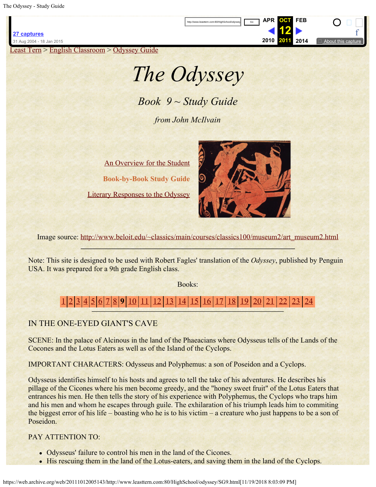<span id="page-0-0"></span>[Least Tern](https://web.archive.org/web/20111012005143/http://www.leasttern.com:80/index.html) > [English Classroom](https://web.archive.org/web/20111012005143/http://www.leasttern.com:80/Engclass.html) > [Odyssey Guide](https://web.archive.org/web/20111012005143/http://www.leasttern.com:80/HighSchool/odyssey/Odyssey.html)

# *The Odyssey*

http://www.leasttern.com:80/HighSchool/odyssey

*Book 9 ~ Study Guide*

*from John McIlvain*

[An Overview for the Student](https://web.archive.org/web/20111012005143/http://www.leasttern.com:80/HighSchool/odyssey/Odyssey1.html) **Book-by-Book Study Guide** [Literary Responses to the Odyssey](https://web.archive.org/web/20111012005143/http://www.leasttern.com:80/HighSchool/odyssey/Odysseyresponses.html)



**[APR](https://web.archive.org/web/20110416104724/http://www.leasttern.com:80/HighSchool/odyssey/SG9.html) OCT [FEB](https://web.archive.org/web/20120203163350/http://www.leasttern.com:80/HighSchool/odyssey/SG9.html)**

**12 [2010](https://web.archive.org/web/20100927124808/http://leasttern.com/HighSchool/odyssey/SG9.html) 2011 [2014](https://web.archive.org/web/20141216163047/http://www.leasttern.com:80/HighSchool/odyssey/SG9.html)**  $\begin{array}{c} \square \square \end{array}$ [f](#page-0-0)

Image source: [http://www.beloit.edu/~classics/main/courses/classics100/museum2/art\\_museum2.html](https://web.archive.org/web/20111012005143/http://www.beloit.edu/%7Eclassics/main/courses/classics100/museum2/art_museum2.html)

Note: This site is designed to be used with Robert Fagles' translation of the *Odyssey*, published by Penguin USA. It was prepared for a 9th grade English class.

Books:

[1](https://web.archive.org/web/20111012005143/http://www.leasttern.com:80/HighSchool/odyssey/SG1.html) [2](https://web.archive.org/web/20111012005143/http://www.leasttern.com:80/HighSchool/odyssey/SG2.html) [3](https://web.archive.org/web/20111012005143/http://www.leasttern.com:80/HighSchool/odyssey/SG3.html) [4](https://web.archive.org/web/20111012005143/http://www.leasttern.com:80/HighSchool/odyssey/SG4.html) [5](https://web.archive.org/web/20111012005143/http://www.leasttern.com:80/HighSchool/odyssey/SG5.html) [6](https://web.archive.org/web/20111012005143/http://www.leasttern.com:80/HighSchool/odyssey/SG6.html) [7](https://web.archive.org/web/20111012005143/http://www.leasttern.com:80/HighSchool/odyssey/SG7.html) [8](https://web.archive.org/web/20111012005143/http://www.leasttern.com:80/HighSchool/odyssey/SG8.html) **9** [10](https://web.archive.org/web/20111012005143/http://www.leasttern.com:80/HighSchool/odyssey/SG10.html) [11](https://web.archive.org/web/20111012005143/http://www.leasttern.com:80/HighSchool/odyssey/SG11.html) [12](https://web.archive.org/web/20111012005143/http://www.leasttern.com:80/HighSchool/odyssey/SG12.html) [13](https://web.archive.org/web/20111012005143/http://www.leasttern.com:80/HighSchool/odyssey/SG13.html) [14](https://web.archive.org/web/20111012005143/http://www.leasttern.com:80/HighSchool/odyssey/SG14.html) [15](https://web.archive.org/web/20111012005143/http://www.leasttern.com:80/HighSchool/odyssey/SG15.html) [16](https://web.archive.org/web/20111012005143/http://www.leasttern.com:80/HighSchool/odyssey/SG16.html) [17](https://web.archive.org/web/20111012005143/http://www.leasttern.com:80/HighSchool/odyssey/SG17.html) [18](https://web.archive.org/web/20111012005143/http://www.leasttern.com:80/HighSchool/odyssey/SG18.html) [19](https://web.archive.org/web/20111012005143/http://www.leasttern.com:80/HighSchool/odyssey/SG19.html) [20](https://web.archive.org/web/20111012005143/http://www.leasttern.com:80/HighSchool/odyssey/SG20.html) [21](https://web.archive.org/web/20111012005143/http://www.leasttern.com:80/HighSchool/odyssey/SG21.html) [22](https://web.archive.org/web/20111012005143/http://www.leasttern.com:80/HighSchool/odyssey/SG22.html) [23](https://web.archive.org/web/20111012005143/http://www.leasttern.com:80/HighSchool/odyssey/SG23.html) [24](https://web.archive.org/web/20111012005143/http://www.leasttern.com:80/HighSchool/odyssey/SG24.html)

## IN THE ONE-EYED GIANT'S CAVE

SCENE: In the palace of Alcinous in the land of the Phaeacians where Odysseus tells of the Lands of the Cocones and the Lotus Eaters as well as of the Island of the Cyclops.

IMPORTANT CHARACTERS: Odysseus and Polyphemus: a son of Poseidon and a Cyclops.

Odysseus identifies himself to his hosts and agrees to tell the take of his adventures. He describes his pillage of the Cicones where his men become greedy, and the "honey sweet fruit" of the Lotus Eaters that entrances his men. He then tells the story of his experience with Polyphemus, the Cyclops who traps him and his men and whom he escapes through guile. The exhilaration of his triumph leads him to commiting the biggest error of his life – boasting who he is to his victim – a creature who just happens to be a son of Poseidon.

#### PAY ATTENTION TO:

- Odysseus' failure to control his men in the land of the Cicones.
- His rescuing them in the land of the Lotus-eaters, and saving them in the land of the Cyclops.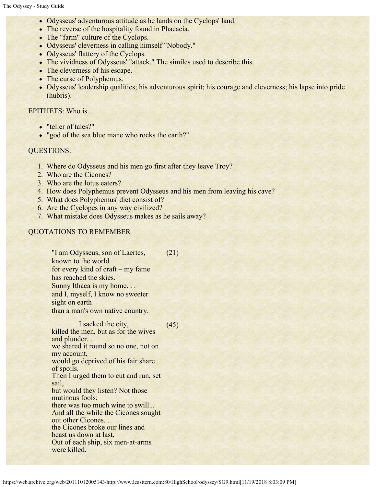- Odysseus' adventurous attitude as he lands on the Cyclops' land.
- The reverse of the hospitality found in Phaeacia.
- The "farm" culture of the Cyclops.
- Odysseus' cleverness in calling himself "Nobody."
- Odysseus' flattery of the Cyclops.
- The vividness of Odysseus' "attack." The similes used to describe this.
- The cleverness of his escape.
- The curse of Polyphemus.
- Odysseus' leadership qualities; his adventurous spirit; his courage and cleverness; his lapse into pride (hubris).

#### EPITHETS: Who is...

- "teller of tales?"
- "god of the sea blue mane who rocks the earth?"

#### QUESTIONS:

- 1. Where do Odysseus and his men go first after they leave Troy?
- 2. Who are the Cicones?
- 3. Who are the lotus eaters?
- 4. How does Polyphemus prevent Odysseus and his men from leaving his cave?
- 5. What does Polyphemus' diet consist of?
- 6. Are the Cyclopes in any way civilized?
- 7. What mistake does Odysseus makes as he sails away?

### QUOTATIONS TO REMEMBER

"I am Odysseus, son of Laertes, known to the world for every kind of craft – my fame has reached the skies. Sunny Ithaca is my home. . . and I, myself, I know no sweeter sight on earth than a man's own native country. (21)

I sacked the city, killed the men, but as for the wives and plunder. . . we shared it round so no one, not on my account, would go deprived of his fair share of spoils. Then I urged them to cut and run, set sail, but would they listen? Not those mutinous fools; there was too much wine to swill... And all the while the Cicones sought out other Cicones. . . the Cicones broke our lines and beast us down at last, Out of each ship, six men-at-arms were killed. (45)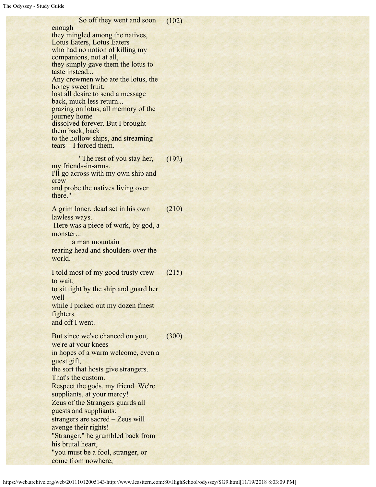| So off they went and soon                                     | (102) |
|---------------------------------------------------------------|-------|
| enough                                                        |       |
| they mingled among the natives,<br>Lotus Eaters, Lotus Eaters |       |
| who had no notion of killing my                               |       |
| companions, not at all,                                       |       |
| they simply gave them the lotus to                            |       |
| taste instead                                                 |       |
| Any crewmen who ate the lotus, the<br>honey sweet fruit,      |       |
| lost all desire to send a message                             |       |
| back, much less return                                        |       |
| grazing on lotus, all memory of the                           |       |
| journey home<br>dissolved forever. But I brought              |       |
| them back, back                                               |       |
| to the hollow ships, and streaming                            |       |
| $tears - I$ forced them.                                      |       |
| "The rest of you stay her,                                    | (192) |
| my friends-in-arms.                                           |       |
| I'll go across with my own ship and                           |       |
| crew                                                          |       |
| and probe the natives living over<br>there."                  |       |
|                                                               |       |
| A grim loner, dead set in his own                             | (210) |
| lawless ways.                                                 |       |
| Here was a piece of work, by god, a                           |       |
| monster<br>a man mountain                                     |       |
| rearing head and shoulders over the                           |       |
| world.                                                        |       |
|                                                               |       |
| I told most of my good trusty crew                            | (215) |
| to wait,                                                      |       |
| to sit tight by the ship and guard her<br>well                |       |
| while I picked out my dozen finest                            |       |
| fighters                                                      |       |
| and off I went.                                               |       |
|                                                               |       |
| But since we've chanced on you,                               | (300) |
| we're at your knees<br>in hopes of a warm welcome, even a     |       |
| guest gift,                                                   |       |
| the sort that hosts give strangers.                           |       |
| That's the custom.                                            |       |
| Respect the gods, my friend. We're                            |       |
| suppliants, at your mercy!                                    |       |
| Zeus of the Strangers guards all                              |       |
| guests and suppliants:                                        |       |
| strangers are sacred - Zeus will                              |       |
| avenge their rights!<br>"Stranger," he grumbled back from     |       |
| his brutal heart,                                             |       |
| "you must be a fool, stranger, or                             |       |
| come from nowhere,                                            |       |
|                                                               |       |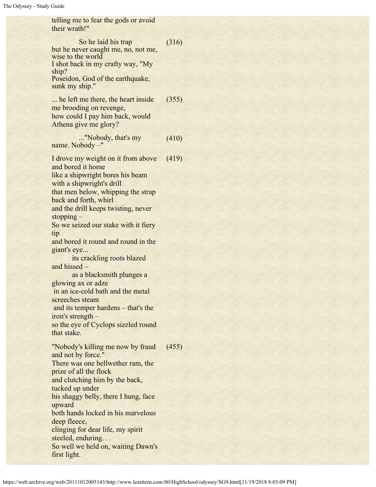telling me to fear the gods or avoid their wrath!" So he laid his trap but he never caught me, no, not me, wise to the world I shot back in my crafty way, "My ship? Poseidon, God of the earthquake, sunk my ship." (316) ... he left me there, the heart inside me brooding on revenge, how could I pay him back, would Athena give me glory? (355) ..."Nobody, that's my name. Nobody –" (410) I drove my weight on it from above and bored it home like a shipwright bores his beam with a shipwright's drill that men below, whipping the strap back and forth, whirl and the drill keeps twisting, never stopping – So we seized our stake with it fiery tip and bored it round and round in the giant's eye... its crackling roots blazed and hissed – as a blacksmith plunges a glowing ax or adze in an ice-cold bath and the metal screeches steam and its temper hardens – that's the iron's strength – so the eye of Cyclops sizzled round that stake. (419) "Nobody's killing me now by fraud and not by force." There was one bellwether ram, the prize of all the flock and clutching him by the back, tucked up under his shaggy belly, there I hung, face upward both hands locked in his marvelous deep fleece, clinging for dear life, my spirit steeled, enduring. . . So well we held on, waiting Dawn's first light. (455)